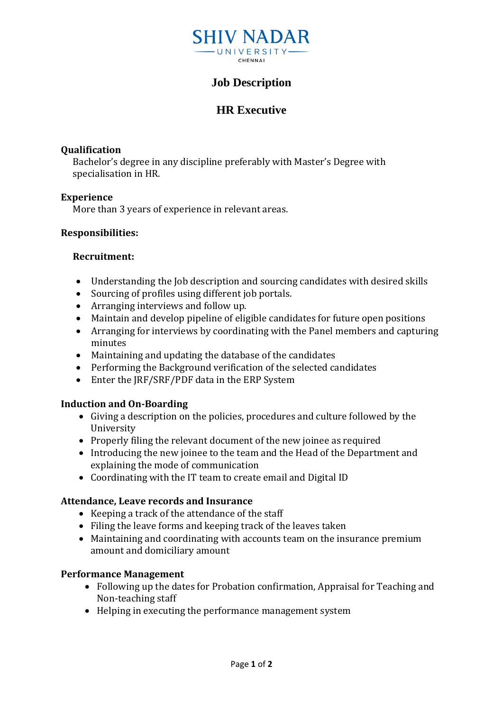

# **Job Description**

# **HR Executive**

## **Qualification**

Bachelor's degree in any discipline preferably with Master's Degree with specialisation in HR.

### **Experience**

More than 3 years of experience in relevant areas.

# **Responsibilities:**

### **Recruitment:**

- Understanding the Job description and sourcing candidates with desired skills
- Sourcing of profiles using different job portals.
- Arranging interviews and follow up.
- Maintain and develop pipeline of eligible candidates for future open positions
- Arranging for interviews by coordinating with the Panel members and capturing minutes
- Maintaining and updating the database of the candidates
- Performing the Background verification of the selected candidates
- Enter the JRF/SRF/PDF data in the ERP System

# **Induction and On-Boarding**

- Giving a description on the policies, procedures and culture followed by the University
- Properly filing the relevant document of the new joinee as required
- Introducing the new joinee to the team and the Head of the Department and explaining the mode of communication
- Coordinating with the IT team to create email and Digital ID

#### **Attendance, Leave records and Insurance**

- Keeping a track of the attendance of the staff
- Filing the leave forms and keeping track of the leaves taken
- Maintaining and coordinating with accounts team on the insurance premium amount and domiciliary amount

# **Performance Management**

- Following up the dates for Probation confirmation, Appraisal for Teaching and Non-teaching staff
- Helping in executing the performance management system